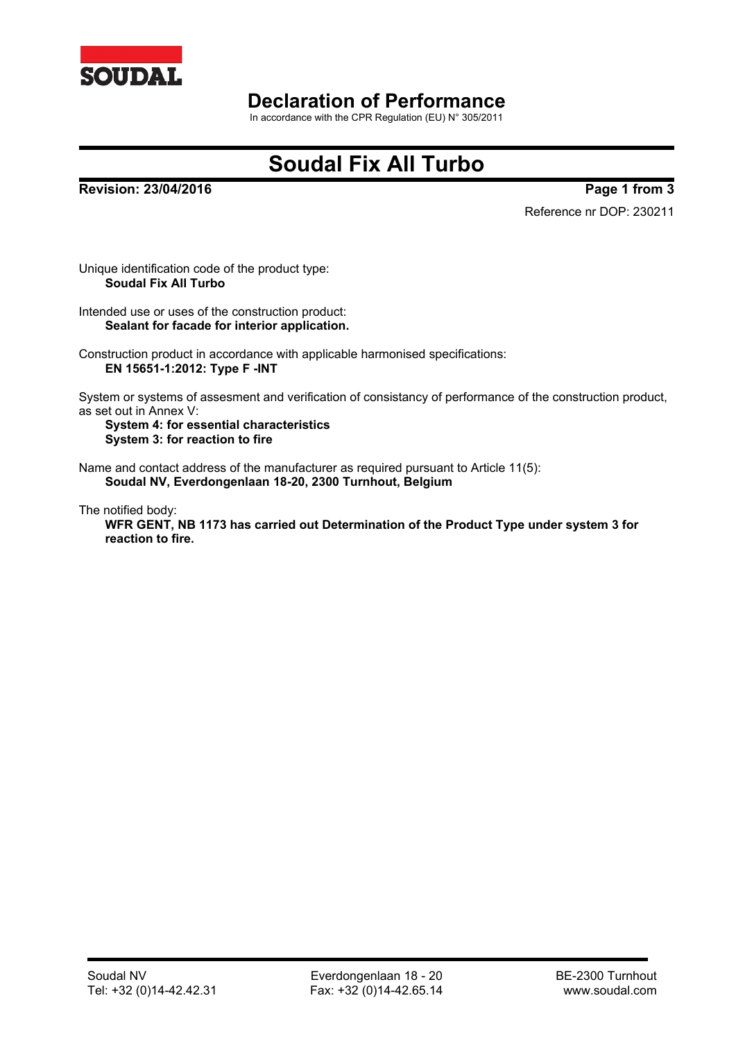

### **Declaration of Performance**

In accordance with the CPR Regulation (EU) N° 305/2011

# **Soudal Fix All Turbo**

**Revision: 23/04/2016 Page 1 from 3**

Reference nr DOP: 230211

Unique identification code of the product type: **Soudal Fix All Turbo**

Intended use or uses of the construction product: **Sealant for facade for interior application.**

Construction product in accordance with applicable harmonised specifications: **EN 15651-1:2012: Type F -INT**

System or systems of assesment and verification of consistancy of performance of the construction product, as set out in Annex V:

**System 4: for essential characteristics System 3: for reaction to fire**

Name and contact address of the manufacturer as required pursuant to Article 11(5): **Soudal NV, Everdongenlaan 18-20, 2300 Turnhout, Belgium**

The notified body: **WFR GENT, NB 1173 has carried out Determination of the Product Type under system 3 for reaction to fire.**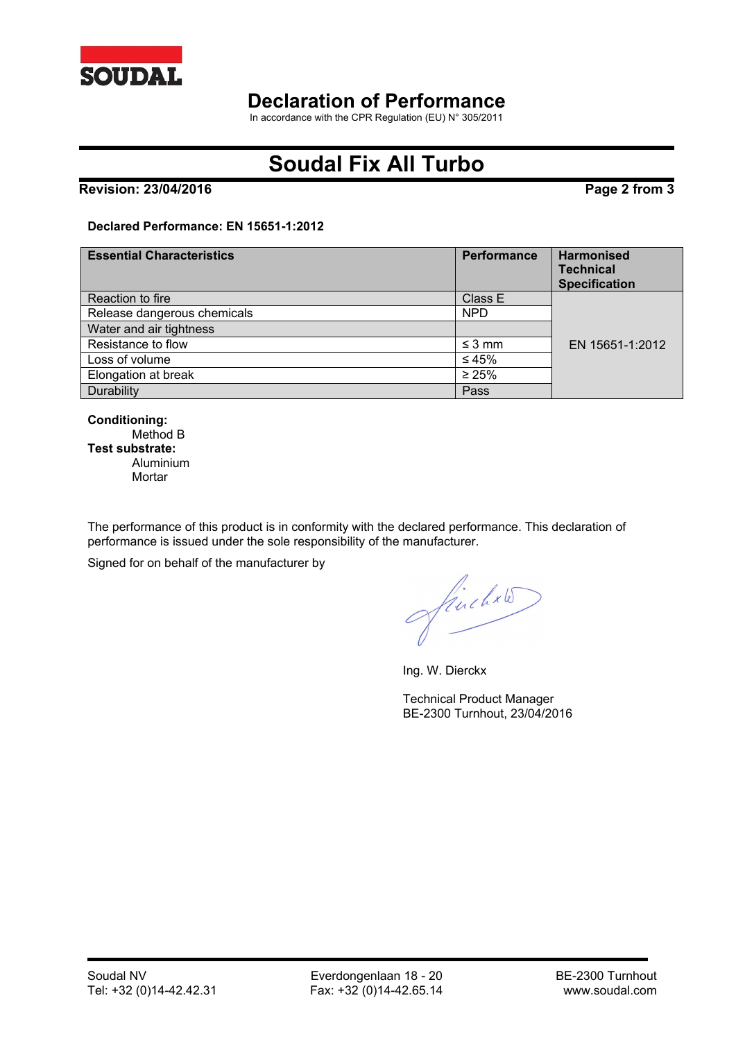

### **Declaration of Performance**

In accordance with the CPR Regulation (EU) N° 305/2011

# **Soudal Fix All Turbo**

#### **Revision: 23/04/2016 Page 2 from 3**

#### **Declared Performance: EN 15651-1:2012**

| <b>Essential Characteristics</b> | <b>Performance</b> | <b>Harmonised</b><br><b>Technical</b><br><b>Specification</b> |
|----------------------------------|--------------------|---------------------------------------------------------------|
| Reaction to fire                 | Class E            |                                                               |
| Release dangerous chemicals      | <b>NPD</b>         |                                                               |
| Water and air tightness          |                    |                                                               |
| Resistance to flow               | $\leq$ 3 mm        | EN 15651-1:2012                                               |
| Loss of volume                   | ≤45%               |                                                               |
| Elongation at break              | $\geq 25\%$        |                                                               |
| Durability                       | Pass               |                                                               |

**Conditioning:** Method B **Test substrate:** Aluminium **Mortar** 

The performance of this product is in conformity with the declared performance. This declaration of performance is issued under the sole responsibility of the manufacturer.

Signed for on behalf of the manufacturer by

finchxle

Ing. W. Dierckx

Technical Product Manager BE-2300 Turnhout, 23/04/2016